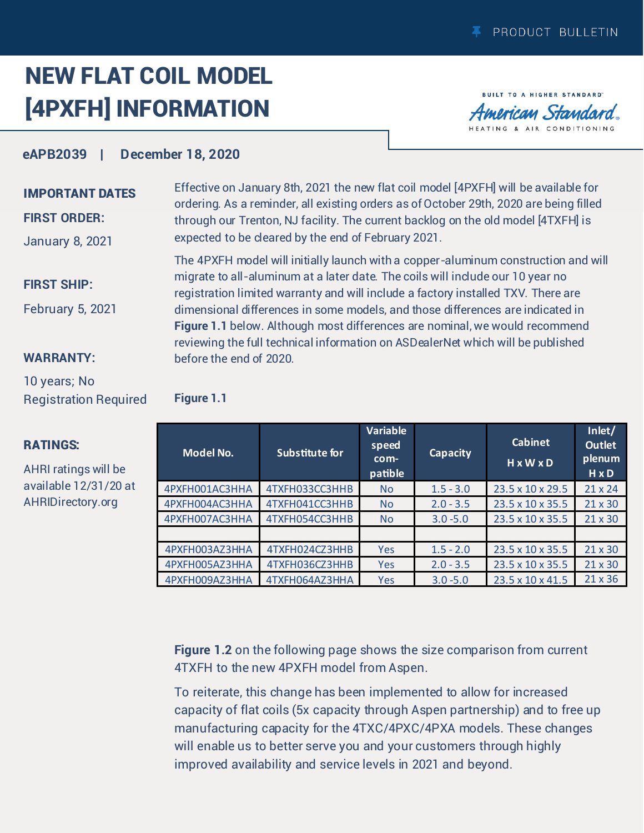## NEW FLAT COIL MODEL [4PXFH] INFORMATION

**BUILT TO A HIGHER STANDARD** merican Standard TING & AIR CONDITIONING

## **eAPB2039 | December 18, 2020**

## IMPORTANT DATES

### **FIRST ORDER:**

January 8, 2021

#### **FIRST SHIP:**

February 5, 2021

#### **WARRANTY:**

10 years; No Registration Required

## RATINGS:

AHRI ratings will be available 12/31/20 at AHRID[irectory.org](http://ahridirectory.org)

Effective on January 8th, 2021 the new flat coil model [4PXFH] will be available for ordering. As a reminder, all existing orders as of October 29th, 2020 are being filled through our Trenton, NJ facility. The current backlog on the old model [4TXFH] is expected to be cleared by the end of February 2021.

The 4PXFH model will initially launch with a copper-aluminum construction and will migrate to all-aluminum at a later date. The coils will include our 10 year no registration limited warranty and will include a factory installed TXV. There are dimensional differences in some models, and those differences are indicated in **Figure 1.1** below. Although most differences are nominal, we would recommend reviewing the full technical information on ASDealerNet which will be published before the end of 2020.

| <b>Figure 1.1</b> |  |  |
|-------------------|--|--|
|                   |  |  |
|                   |  |  |
|                   |  |  |
|                   |  |  |

| <b>Model No.</b> | Substitute for | <b>Variable</b><br>speed<br>com-<br>patible | <b>Capacity</b> | <b>Cabinet</b><br>HxWxD | Inlet/<br><b>Outlet</b><br>plenum<br>$H \times D$ |
|------------------|----------------|---------------------------------------------|-----------------|-------------------------|---------------------------------------------------|
| 4PXFH001AC3HHA   | 4TXFH033CC3HHB | <b>No</b>                                   | $1.5 - 3.0$     | 23.5 x 10 x 29.5        | $21 \times 24$                                    |
| 4PXFH004AC3HHA   | 4TXFH041CC3HHB | <b>No</b>                                   | $2.0 - 3.5$     | 23.5 x 10 x 35.5        | $21 \times 30$                                    |
| 4PXFH007AC3HHA   | 4TXFH054CC3HHB | <b>No</b>                                   | $3.0 - 5.0$     | 23.5 x 10 x 35.5        | 21 x 30                                           |
|                  |                |                                             |                 |                         |                                                   |
| 4PXFH003AZ3HHA   | 4TXFH024CZ3HHB | Yes                                         | $1.5 - 2.0$     | 23.5 x 10 x 35.5        | $21 \times 30$                                    |
| 4PXFH005AZ3HHA   | 4TXFH036CZ3HHB | Yes                                         | $2.0 - 3.5$     | 23.5 x 10 x 35.5        | 21 x 30                                           |
| 4PXFH009AZ3HHA   | 4TXFH064AZ3HHA | Yes                                         | $3.0 - 5.0$     | 23.5 x 10 x 41.5        | $21 \times 36$                                    |

**Figure 1.2** on the following page shows the size comparison from current 4TXFH to the new 4PXFH model from Aspen.

To reiterate, this change has been implemented to allow for increased capacity of flat coils (5x capacity through Aspen partnership) and to free up manufacturing capacity for the 4TXC/4PXC/4PXA models. These changes will enable us to better serve you and your customers through highly improved availability and service levels in 2021 and beyond.